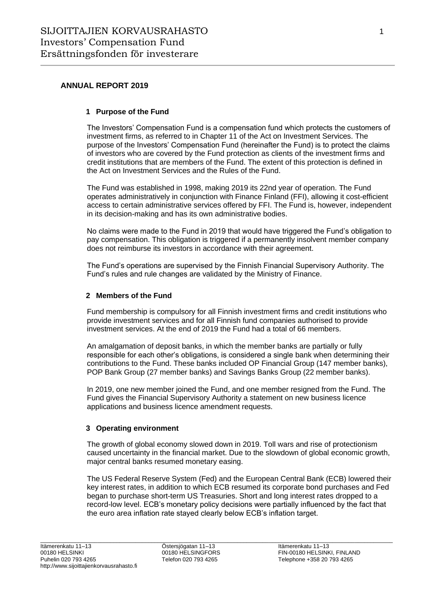## **ANNUAL REPORT 2019**

### **1 Purpose of the Fund**

The Investors' Compensation Fund is a compensation fund which protects the customers of investment firms, as referred to in Chapter 11 of the Act on Investment Services. The purpose of the Investors' Compensation Fund (hereinafter the Fund) is to protect the claims of investors who are covered by the Fund protection as clients of the investment firms and credit institutions that are members of the Fund. The extent of this protection is defined in the Act on Investment Services and the Rules of the Fund.

The Fund was established in 1998, making 2019 its 22nd year of operation. The Fund operates administratively in conjunction with Finance Finland (FFI), allowing it cost-efficient access to certain administrative services offered by FFI. The Fund is, however, independent in its decision-making and has its own administrative bodies.

No claims were made to the Fund in 2019 that would have triggered the Fund's obligation to pay compensation. This obligation is triggered if a permanently insolvent member company does not reimburse its investors in accordance with their agreement.

The Fund's operations are supervised by the Finnish Financial Supervisory Authority. The Fund's rules and rule changes are validated by the Ministry of Finance.

#### **2 Members of the Fund**

Fund membership is compulsory for all Finnish investment firms and credit institutions who provide investment services and for all Finnish fund companies authorised to provide investment services. At the end of 2019 the Fund had a total of 66 members.

An amalgamation of deposit banks, in which the member banks are partially or fully responsible for each other's obligations, is considered a single bank when determining their contributions to the Fund. These banks included OP Financial Group (147 member banks), POP Bank Group (27 member banks) and Savings Banks Group (22 member banks).

In 2019, one new member joined the Fund, and one member resigned from the Fund. The Fund gives the Financial Supervisory Authority a statement on new business licence applications and business licence amendment requests.

#### **3 Operating environment**

The growth of global economy slowed down in 2019. Toll wars and rise of protectionism caused uncertainty in the financial market. Due to the slowdown of global economic growth, major central banks resumed monetary easing.

The US Federal Reserve System (Fed) and the European Central Bank (ECB) lowered their key interest rates, in addition to which ECB resumed its corporate bond purchases and Fed began to purchase short-term US Treasuries. Short and long interest rates dropped to a record-low level. ECB's monetary policy decisions were partially influenced by the fact that the euro area inflation rate stayed clearly below ECB's inflation target.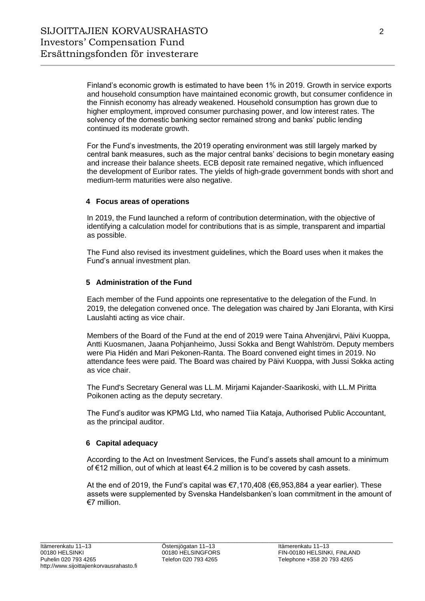Finland's economic growth is estimated to have been 1% in 2019. Growth in service exports and household consumption have maintained economic growth, but consumer confidence in the Finnish economy has already weakened. Household consumption has grown due to higher employment, improved consumer purchasing power, and low interest rates. The solvency of the domestic banking sector remained strong and banks' public lending continued its moderate growth.

For the Fund's investments, the 2019 operating environment was still largely marked by central bank measures, such as the major central banks' decisions to begin monetary easing and increase their balance sheets. ECB deposit rate remained negative, which influenced the development of Euribor rates. The yields of high-grade government bonds with short and medium-term maturities were also negative.

### **4 Focus areas of operations**

In 2019, the Fund launched a reform of contribution determination, with the objective of identifying a calculation model for contributions that is as simple, transparent and impartial as possible.

The Fund also revised its investment guidelines, which the Board uses when it makes the Fund's annual investment plan.

### **5 Administration of the Fund**

Each member of the Fund appoints one representative to the delegation of the Fund. In 2019, the delegation convened once. The delegation was chaired by Jani Eloranta, with Kirsi Lauslahti acting as vice chair.

Members of the Board of the Fund at the end of 2019 were Taina Ahvenjärvi, Päivi Kuoppa, Antti Kuosmanen, Jaana Pohjanheimo, Jussi Sokka and Bengt Wahlström. Deputy members were Pia Hidén and Mari Pekonen-Ranta. The Board convened eight times in 2019. No attendance fees were paid. The Board was chaired by Päivi Kuoppa, with Jussi Sokka acting as vice chair.

The Fund's Secretary General was LL.M. Mirjami Kajander-Saarikoski, with LL.M Piritta Poikonen acting as the deputy secretary.

The Fund's auditor was KPMG Ltd, who named Tiia Kataja, Authorised Public Accountant, as the principal auditor.

#### **6 Capital adequacy**

According to the Act on Investment Services, the Fund's assets shall amount to a minimum of €12 million, out of which at least €4.2 million is to be covered by cash assets.

At the end of 2019, the Fund's capital was  $\epsilon$ 7,170,408 ( $\epsilon$ 6,953,884 a year earlier). These assets were supplemented by Svenska Handelsbanken's loan commitment in the amount of €7 million.

 $\_$  , and the set of the set of the set of the set of the set of the set of the set of the set of the set of the set of the set of the set of the set of the set of the set of the set of the set of the set of the set of th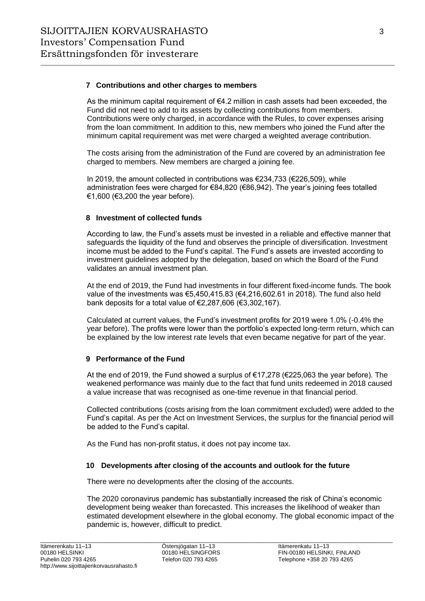#### **7 Contributions and other charges to members**

As the minimum capital requirement of  $\epsilon$ 4.2 million in cash assets had been exceeded, the Fund did not need to add to its assets by collecting contributions from members. Contributions were only charged, in accordance with the Rules, to cover expenses arising from the loan commitment. In addition to this, new members who joined the Fund after the minimum capital requirement was met were charged a weighted average contribution.

The costs arising from the administration of the Fund are covered by an administration fee charged to members. New members are charged a joining fee.

In 2019, the amount collected in contributions was €234,733 (€226,509), while administration fees were charged for €84,820 (€86,942). The year's joining fees totalled €1,600 (€3,200 the year before).

### **8 Investment of collected funds**

According to law, the Fund's assets must be invested in a reliable and effective manner that safeguards the liquidity of the fund and observes the principle of diversification. Investment income must be added to the Fund's capital. The Fund's assets are invested according to investment guidelines adopted by the delegation, based on which the Board of the Fund validates an annual investment plan.

At the end of 2019, the Fund had investments in four different fixed-income funds. The book value of the investments was €5,450,415.83 (€4,216,602.61 in 2018). The fund also held bank deposits for a total value of €2,287,606 (€3,302,167).

Calculated at current values, the Fund's investment profits for 2019 were 1.0% (-0.4% the year before). The profits were lower than the portfolio's expected long-term return, which can be explained by the low interest rate levels that even became negative for part of the year.

# **9 Performance of the Fund**

At the end of 2019, the Fund showed a surplus of €17,278 (€225,063 the year before). The weakened performance was mainly due to the fact that fund units redeemed in 2018 caused a value increase that was recognised as one-time revenue in that financial period.

Collected contributions (costs arising from the loan commitment excluded) were added to the Fund's capital. As per the Act on Investment Services, the surplus for the financial period will be added to the Fund's capital.

As the Fund has non-profit status, it does not pay income tax.

#### **10 Developments after closing of the accounts and outlook for the future**

There were no developments after the closing of the accounts.

The 2020 coronavirus pandemic has substantially increased the risk of China's economic development being weaker than forecasted. This increases the likelihood of weaker than estimated development elsewhere in the global economy. The global economic impact of the pandemic is, however, difficult to predict.